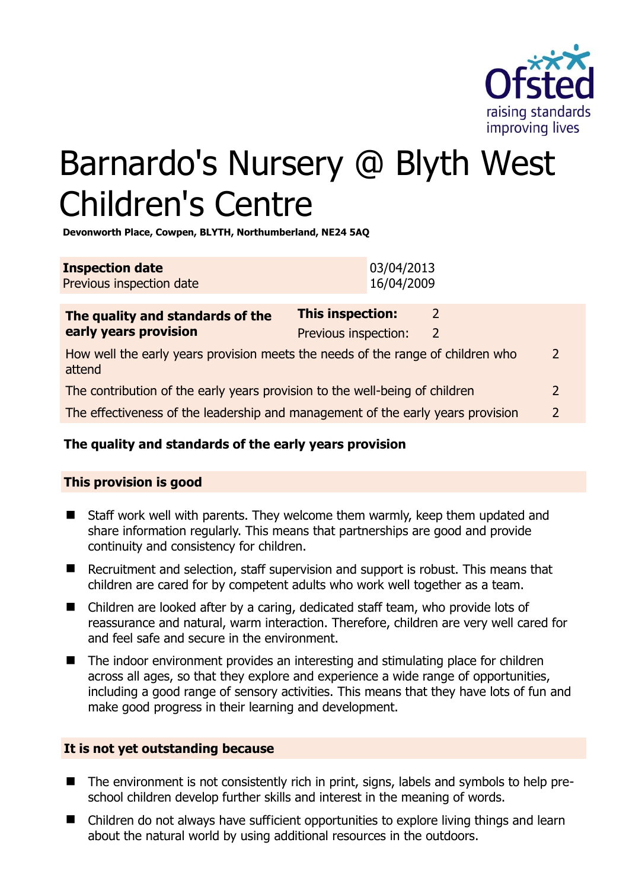

# Barnardo's Nursery @ Blyth West Children's Centre

**Devonworth Place, Cowpen, BLYTH, Northumberland, NE24 5AQ** 

| <b>Inspection date</b>   | 03/04/2013 |
|--------------------------|------------|
| Previous inspection date | 16/04/2009 |

| The quality and standards of the                                                          | <b>This inspection:</b> | $\mathcal{L}$ |               |
|-------------------------------------------------------------------------------------------|-------------------------|---------------|---------------|
| early years provision                                                                     | Previous inspection:    | $\mathbf{2}$  |               |
| How well the early years provision meets the needs of the range of children who<br>attend |                         |               | $\mathcal{L}$ |
| The contribution of the early years provision to the well-being of children               |                         |               | $\mathcal{L}$ |
| The effectiveness of the leadership and management of the early years provision           |                         |               |               |
|                                                                                           |                         |               |               |

# **The quality and standards of the early years provision**

# **This provision is good**

- Staff work well with parents. They welcome them warmly, keep them updated and share information regularly. This means that partnerships are good and provide continuity and consistency for children.
- Recruitment and selection, staff supervision and support is robust. This means that children are cared for by competent adults who work well together as a team.
- Children are looked after by a caring, dedicated staff team, who provide lots of reassurance and natural, warm interaction. Therefore, children are very well cared for and feel safe and secure in the environment.
- The indoor environment provides an interesting and stimulating place for children across all ages, so that they explore and experience a wide range of opportunities, including a good range of sensory activities. This means that they have lots of fun and make good progress in their learning and development.

#### **It is not yet outstanding because**

- The environment is not consistently rich in print, signs, labels and symbols to help preschool children develop further skills and interest in the meaning of words.
- Children do not always have sufficient opportunities to explore living things and learn about the natural world by using additional resources in the outdoors.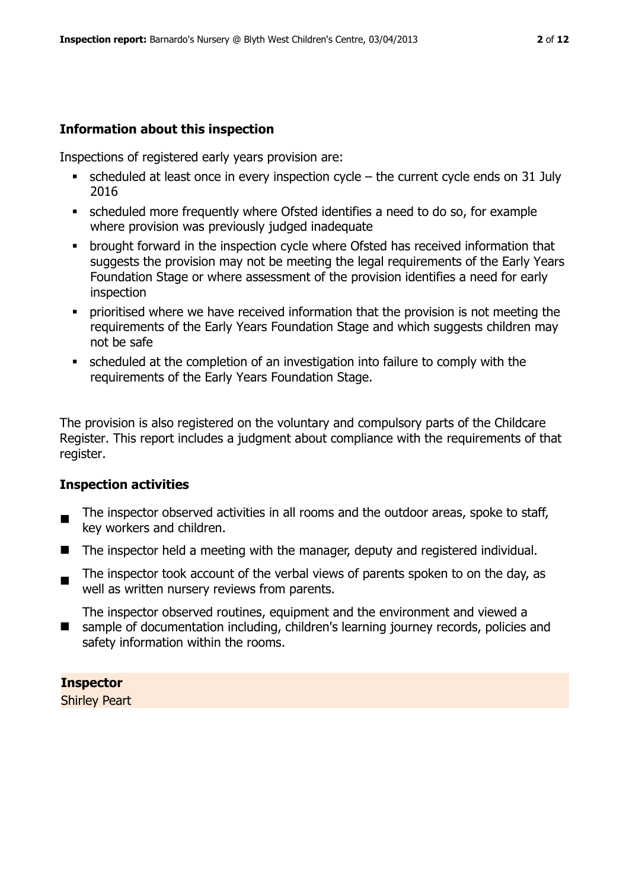# **Information about this inspection**

Inspections of registered early years provision are:

- $\bullet$  scheduled at least once in every inspection cycle the current cycle ends on 31 July 2016
- scheduled more frequently where Ofsted identifies a need to do so, for example where provision was previously judged inadequate
- **•** brought forward in the inspection cycle where Ofsted has received information that suggests the provision may not be meeting the legal requirements of the Early Years Foundation Stage or where assessment of the provision identifies a need for early inspection
- **Prioritised where we have received information that the provision is not meeting the** requirements of the Early Years Foundation Stage and which suggests children may not be safe
- scheduled at the completion of an investigation into failure to comply with the requirements of the Early Years Foundation Stage.

The provision is also registered on the voluntary and compulsory parts of the Childcare Register. This report includes a judgment about compliance with the requirements of that register.

# **Inspection activities**

- $\blacksquare$ The inspector observed activities in all rooms and the outdoor areas, spoke to staff, key workers and children.
- $\blacksquare$  The inspector held a meeting with the manager, deputy and registered individual.
- $\blacksquare$ The inspector took account of the verbal views of parents spoken to on the day, as well as written nursery reviews from parents.

The inspector observed routines, equipment and the environment and viewed a

■ sample of documentation including, children's learning journey records, policies and safety information within the rooms.

# **Inspector**

Shirley Peart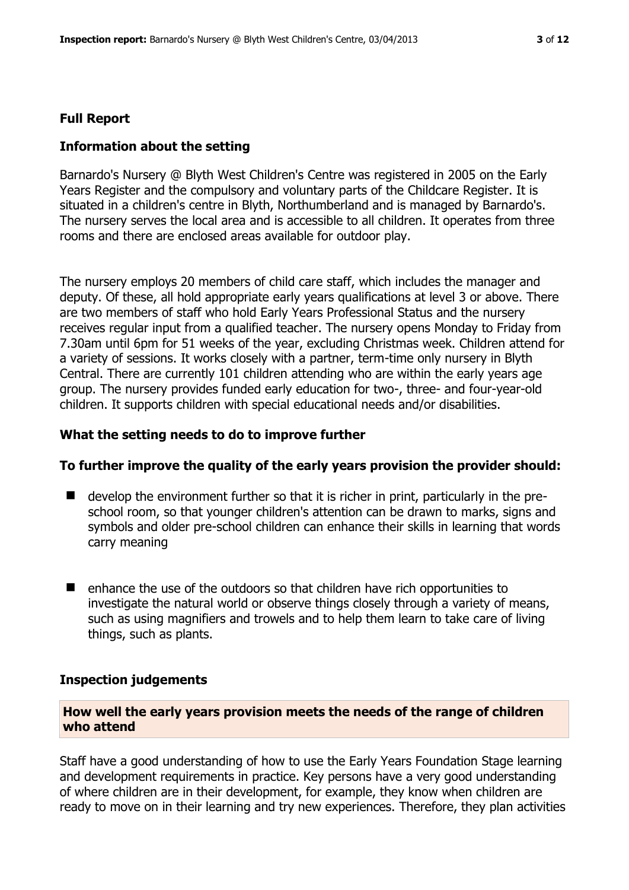#### **Full Report**

#### **Information about the setting**

Barnardo's Nursery @ Blyth West Children's Centre was registered in 2005 on the Early Years Register and the compulsory and voluntary parts of the Childcare Register. It is situated in a children's centre in Blyth, Northumberland and is managed by Barnardo's. The nursery serves the local area and is accessible to all children. It operates from three rooms and there are enclosed areas available for outdoor play.

The nursery employs 20 members of child care staff, which includes the manager and deputy. Of these, all hold appropriate early years qualifications at level 3 or above. There are two members of staff who hold Early Years Professional Status and the nursery receives regular input from a qualified teacher. The nursery opens Monday to Friday from 7.30am until 6pm for 51 weeks of the year, excluding Christmas week. Children attend for a variety of sessions. It works closely with a partner, term-time only nursery in Blyth Central. There are currently 101 children attending who are within the early years age group. The nursery provides funded early education for two-, three- and four-year-old children. It supports children with special educational needs and/or disabilities.

#### **What the setting needs to do to improve further**

#### **To further improve the quality of the early years provision the provider should:**

- develop the environment further so that it is richer in print, particularly in the preschool room, so that younger children's attention can be drawn to marks, signs and symbols and older pre-school children can enhance their skills in learning that words carry meaning
- enhance the use of the outdoors so that children have rich opportunities to investigate the natural world or observe things closely through a variety of means, such as using magnifiers and trowels and to help them learn to take care of living things, such as plants.

#### **Inspection judgements**

**How well the early years provision meets the needs of the range of children who attend**

Staff have a good understanding of how to use the Early Years Foundation Stage learning and development requirements in practice. Key persons have a very good understanding of where children are in their development, for example, they know when children are ready to move on in their learning and try new experiences. Therefore, they plan activities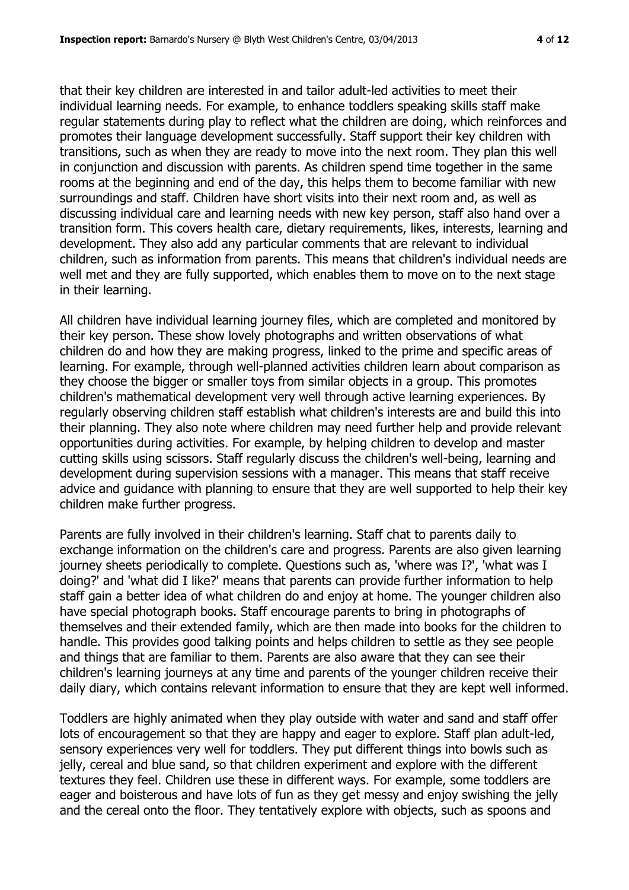that their key children are interested in and tailor adult-led activities to meet their individual learning needs. For example, to enhance toddlers speaking skills staff make regular statements during play to reflect what the children are doing, which reinforces and promotes their language development successfully. Staff support their key children with transitions, such as when they are ready to move into the next room. They plan this well in conjunction and discussion with parents. As children spend time together in the same rooms at the beginning and end of the day, this helps them to become familiar with new surroundings and staff. Children have short visits into their next room and, as well as discussing individual care and learning needs with new key person, staff also hand over a transition form. This covers health care, dietary requirements, likes, interests, learning and development. They also add any particular comments that are relevant to individual children, such as information from parents. This means that children's individual needs are well met and they are fully supported, which enables them to move on to the next stage in their learning.

All children have individual learning journey files, which are completed and monitored by their key person. These show lovely photographs and written observations of what children do and how they are making progress, linked to the prime and specific areas of learning. For example, through well-planned activities children learn about comparison as they choose the bigger or smaller toys from similar objects in a group. This promotes children's mathematical development very well through active learning experiences. By regularly observing children staff establish what children's interests are and build this into their planning. They also note where children may need further help and provide relevant opportunities during activities. For example, by helping children to develop and master cutting skills using scissors. Staff regularly discuss the children's well-being, learning and development during supervision sessions with a manager. This means that staff receive advice and guidance with planning to ensure that they are well supported to help their key children make further progress.

Parents are fully involved in their children's learning. Staff chat to parents daily to exchange information on the children's care and progress. Parents are also given learning journey sheets periodically to complete. Questions such as, 'where was I?', 'what was I doing?' and 'what did I like?' means that parents can provide further information to help staff gain a better idea of what children do and enjoy at home. The younger children also have special photograph books. Staff encourage parents to bring in photographs of themselves and their extended family, which are then made into books for the children to handle. This provides good talking points and helps children to settle as they see people and things that are familiar to them. Parents are also aware that they can see their children's learning journeys at any time and parents of the younger children receive their daily diary, which contains relevant information to ensure that they are kept well informed.

Toddlers are highly animated when they play outside with water and sand and staff offer lots of encouragement so that they are happy and eager to explore. Staff plan adult-led, sensory experiences very well for toddlers. They put different things into bowls such as jelly, cereal and blue sand, so that children experiment and explore with the different textures they feel. Children use these in different ways. For example, some toddlers are eager and boisterous and have lots of fun as they get messy and enjoy swishing the jelly and the cereal onto the floor. They tentatively explore with objects, such as spoons and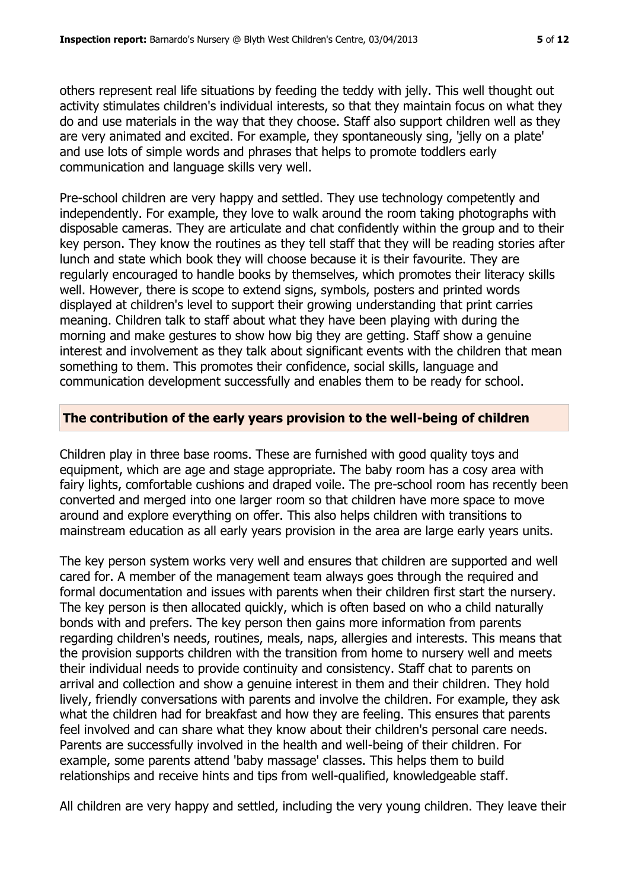others represent real life situations by feeding the teddy with jelly. This well thought out activity stimulates children's individual interests, so that they maintain focus on what they do and use materials in the way that they choose. Staff also support children well as they are very animated and excited. For example, they spontaneously sing, 'jelly on a plate' and use lots of simple words and phrases that helps to promote toddlers early communication and language skills very well.

Pre-school children are very happy and settled. They use technology competently and independently. For example, they love to walk around the room taking photographs with disposable cameras. They are articulate and chat confidently within the group and to their key person. They know the routines as they tell staff that they will be reading stories after lunch and state which book they will choose because it is their favourite. They are regularly encouraged to handle books by themselves, which promotes their literacy skills well. However, there is scope to extend signs, symbols, posters and printed words displayed at children's level to support their growing understanding that print carries meaning. Children talk to staff about what they have been playing with during the morning and make gestures to show how big they are getting. Staff show a genuine interest and involvement as they talk about significant events with the children that mean something to them. This promotes their confidence, social skills, language and communication development successfully and enables them to be ready for school.

#### **The contribution of the early years provision to the well-being of children**

Children play in three base rooms. These are furnished with good quality toys and equipment, which are age and stage appropriate. The baby room has a cosy area with fairy lights, comfortable cushions and draped voile. The pre-school room has recently been converted and merged into one larger room so that children have more space to move around and explore everything on offer. This also helps children with transitions to mainstream education as all early years provision in the area are large early years units.

The key person system works very well and ensures that children are supported and well cared for. A member of the management team always goes through the required and formal documentation and issues with parents when their children first start the nursery. The key person is then allocated quickly, which is often based on who a child naturally bonds with and prefers. The key person then gains more information from parents regarding children's needs, routines, meals, naps, allergies and interests. This means that the provision supports children with the transition from home to nursery well and meets their individual needs to provide continuity and consistency. Staff chat to parents on arrival and collection and show a genuine interest in them and their children. They hold lively, friendly conversations with parents and involve the children. For example, they ask what the children had for breakfast and how they are feeling. This ensures that parents feel involved and can share what they know about their children's personal care needs. Parents are successfully involved in the health and well-being of their children. For example, some parents attend 'baby massage' classes. This helps them to build relationships and receive hints and tips from well-qualified, knowledgeable staff.

All children are very happy and settled, including the very young children. They leave their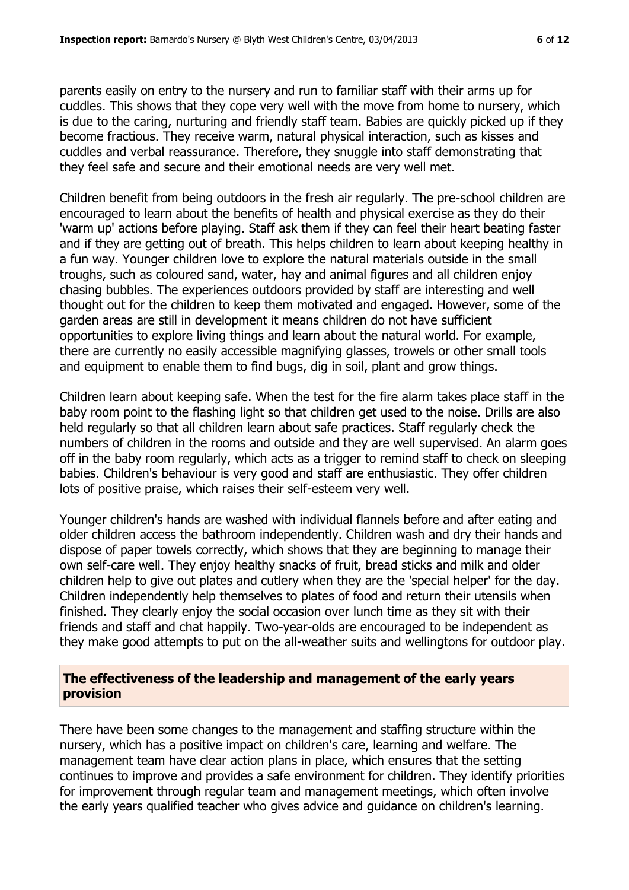parents easily on entry to the nursery and run to familiar staff with their arms up for cuddles. This shows that they cope very well with the move from home to nursery, which is due to the caring, nurturing and friendly staff team. Babies are quickly picked up if they become fractious. They receive warm, natural physical interaction, such as kisses and cuddles and verbal reassurance. Therefore, they snuggle into staff demonstrating that they feel safe and secure and their emotional needs are very well met.

Children benefit from being outdoors in the fresh air regularly. The pre-school children are encouraged to learn about the benefits of health and physical exercise as they do their 'warm up' actions before playing. Staff ask them if they can feel their heart beating faster and if they are getting out of breath. This helps children to learn about keeping healthy in a fun way. Younger children love to explore the natural materials outside in the small troughs, such as coloured sand, water, hay and animal figures and all children enjoy chasing bubbles. The experiences outdoors provided by staff are interesting and well thought out for the children to keep them motivated and engaged. However, some of the garden areas are still in development it means children do not have sufficient opportunities to explore living things and learn about the natural world. For example, there are currently no easily accessible magnifying glasses, trowels or other small tools and equipment to enable them to find bugs, dig in soil, plant and grow things.

Children learn about keeping safe. When the test for the fire alarm takes place staff in the baby room point to the flashing light so that children get used to the noise. Drills are also held regularly so that all children learn about safe practices. Staff regularly check the numbers of children in the rooms and outside and they are well supervised. An alarm goes off in the baby room regularly, which acts as a trigger to remind staff to check on sleeping babies. Children's behaviour is very good and staff are enthusiastic. They offer children lots of positive praise, which raises their self-esteem very well.

Younger children's hands are washed with individual flannels before and after eating and older children access the bathroom independently. Children wash and dry their hands and dispose of paper towels correctly, which shows that they are beginning to manage their own self-care well. They enjoy healthy snacks of fruit, bread sticks and milk and older children help to give out plates and cutlery when they are the 'special helper' for the day. Children independently help themselves to plates of food and return their utensils when finished. They clearly enjoy the social occasion over lunch time as they sit with their friends and staff and chat happily. Two-year-olds are encouraged to be independent as they make good attempts to put on the all-weather suits and wellingtons for outdoor play.

#### **The effectiveness of the leadership and management of the early years provision**

There have been some changes to the management and staffing structure within the nursery, which has a positive impact on children's care, learning and welfare. The management team have clear action plans in place, which ensures that the setting continues to improve and provides a safe environment for children. They identify priorities for improvement through regular team and management meetings, which often involve the early years qualified teacher who gives advice and guidance on children's learning.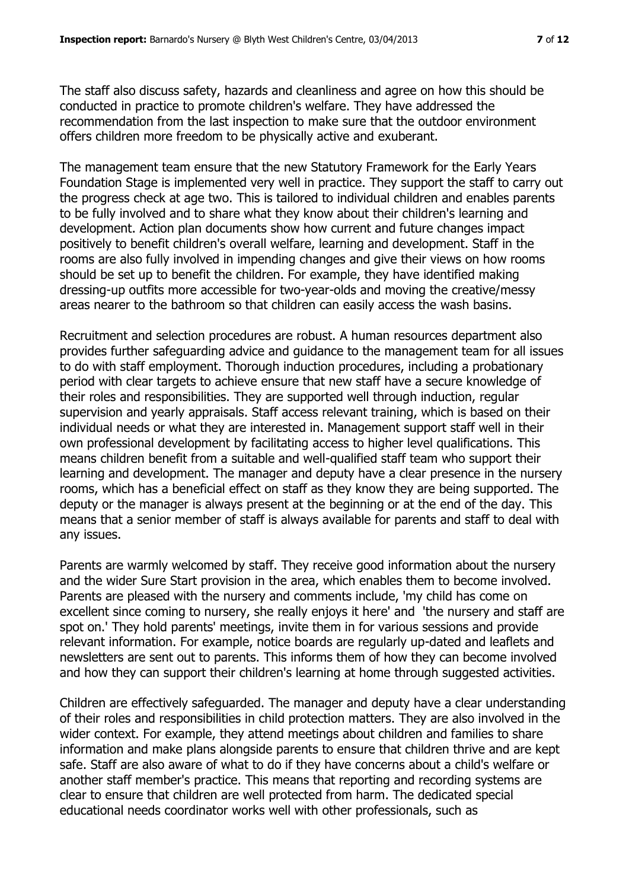The staff also discuss safety, hazards and cleanliness and agree on how this should be conducted in practice to promote children's welfare. They have addressed the recommendation from the last inspection to make sure that the outdoor environment offers children more freedom to be physically active and exuberant.

The management team ensure that the new Statutory Framework for the Early Years Foundation Stage is implemented very well in practice. They support the staff to carry out the progress check at age two. This is tailored to individual children and enables parents to be fully involved and to share what they know about their children's learning and development. Action plan documents show how current and future changes impact positively to benefit children's overall welfare, learning and development. Staff in the rooms are also fully involved in impending changes and give their views on how rooms should be set up to benefit the children. For example, they have identified making dressing-up outfits more accessible for two-year-olds and moving the creative/messy areas nearer to the bathroom so that children can easily access the wash basins.

Recruitment and selection procedures are robust. A human resources department also provides further safeguarding advice and guidance to the management team for all issues to do with staff employment. Thorough induction procedures, including a probationary period with clear targets to achieve ensure that new staff have a secure knowledge of their roles and responsibilities. They are supported well through induction, regular supervision and yearly appraisals. Staff access relevant training, which is based on their individual needs or what they are interested in. Management support staff well in their own professional development by facilitating access to higher level qualifications. This means children benefit from a suitable and well-qualified staff team who support their learning and development. The manager and deputy have a clear presence in the nursery rooms, which has a beneficial effect on staff as they know they are being supported. The deputy or the manager is always present at the beginning or at the end of the day. This means that a senior member of staff is always available for parents and staff to deal with any issues.

Parents are warmly welcomed by staff. They receive good information about the nursery and the wider Sure Start provision in the area, which enables them to become involved. Parents are pleased with the nursery and comments include, 'my child has come on excellent since coming to nursery, she really enjoys it here' and 'the nursery and staff are spot on.' They hold parents' meetings, invite them in for various sessions and provide relevant information. For example, notice boards are regularly up-dated and leaflets and newsletters are sent out to parents. This informs them of how they can become involved and how they can support their children's learning at home through suggested activities.

Children are effectively safeguarded. The manager and deputy have a clear understanding of their roles and responsibilities in child protection matters. They are also involved in the wider context. For example, they attend meetings about children and families to share information and make plans alongside parents to ensure that children thrive and are kept safe. Staff are also aware of what to do if they have concerns about a child's welfare or another staff member's practice. This means that reporting and recording systems are clear to ensure that children are well protected from harm. The dedicated special educational needs coordinator works well with other professionals, such as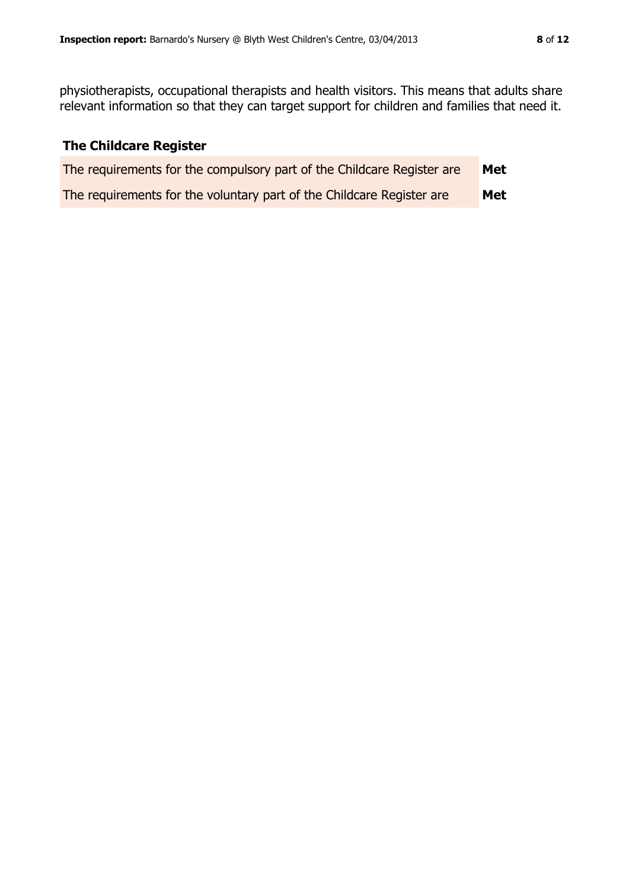physiotherapists, occupational therapists and health visitors. This means that adults share relevant information so that they can target support for children and families that need it.

# **The Childcare Register**

| The requirements for the compulsory part of the Childcare Register are | <b>Met</b> |
|------------------------------------------------------------------------|------------|
| The requirements for the voluntary part of the Childcare Register are  | Met        |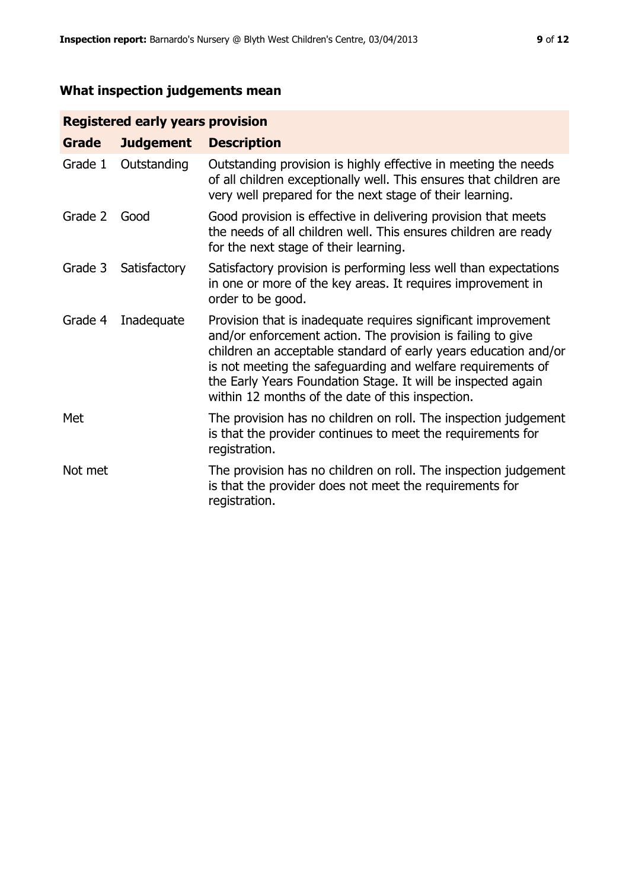# **What inspection judgements mean**

# **Registered early years provision**

| Grade   | <b>Judgement</b> | <b>Description</b>                                                                                                                                                                                                                                                                                                                                                                 |
|---------|------------------|------------------------------------------------------------------------------------------------------------------------------------------------------------------------------------------------------------------------------------------------------------------------------------------------------------------------------------------------------------------------------------|
| Grade 1 | Outstanding      | Outstanding provision is highly effective in meeting the needs<br>of all children exceptionally well. This ensures that children are<br>very well prepared for the next stage of their learning.                                                                                                                                                                                   |
| Grade 2 | Good             | Good provision is effective in delivering provision that meets<br>the needs of all children well. This ensures children are ready<br>for the next stage of their learning.                                                                                                                                                                                                         |
| Grade 3 | Satisfactory     | Satisfactory provision is performing less well than expectations<br>in one or more of the key areas. It requires improvement in<br>order to be good.                                                                                                                                                                                                                               |
| Grade 4 | Inadequate       | Provision that is inadequate requires significant improvement<br>and/or enforcement action. The provision is failing to give<br>children an acceptable standard of early years education and/or<br>is not meeting the safeguarding and welfare requirements of<br>the Early Years Foundation Stage. It will be inspected again<br>within 12 months of the date of this inspection. |
| Met     |                  | The provision has no children on roll. The inspection judgement<br>is that the provider continues to meet the requirements for<br>registration.                                                                                                                                                                                                                                    |
| Not met |                  | The provision has no children on roll. The inspection judgement<br>is that the provider does not meet the requirements for<br>registration.                                                                                                                                                                                                                                        |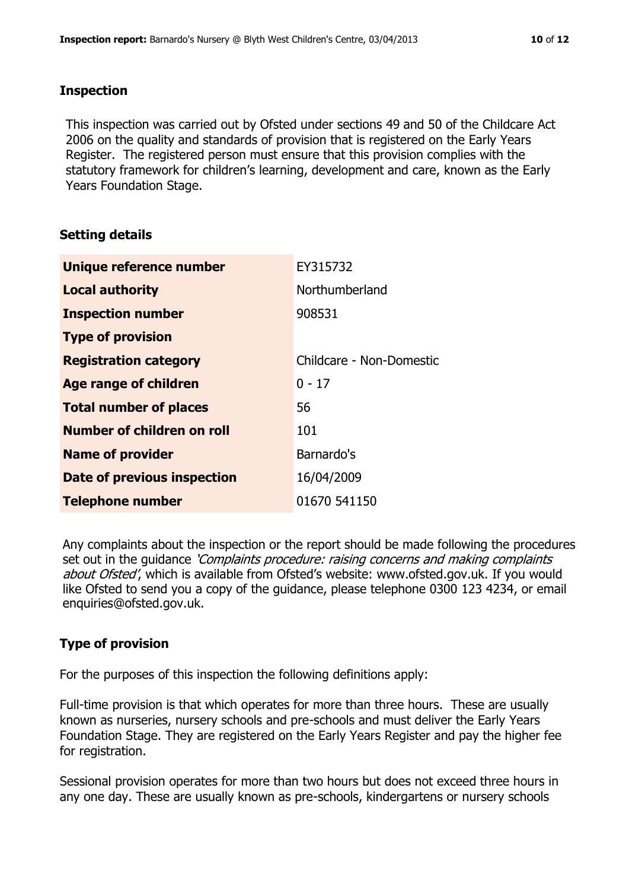#### **Inspection**

This inspection was carried out by Ofsted under sections 49 and 50 of the Childcare Act 2006 on the quality and standards of provision that is registered on the Early Years Register. The registered person must ensure that this provision complies with the statutory framework for children's learning, development and care, known as the Early Years Foundation Stage.

# **Setting details**

| Unique reference number           | EY315732                 |
|-----------------------------------|--------------------------|
| <b>Local authority</b>            | Northumberland           |
| <b>Inspection number</b>          | 908531                   |
| <b>Type of provision</b>          |                          |
| <b>Registration category</b>      | Childcare - Non-Domestic |
| Age range of children             | $0 - 17$                 |
| <b>Total number of places</b>     | 56                       |
| <b>Number of children on roll</b> | 101                      |
| <b>Name of provider</b>           | Barnardo's               |
| Date of previous inspection       | 16/04/2009               |
| <b>Telephone number</b>           | 01670 541150             |

Any complaints about the inspection or the report should be made following the procedures set out in the guidance *'Complaints procedure: raising concerns and making complaints* about Ofsted', which is available from Ofsted's website: www.ofsted.gov.uk. If you would like Ofsted to send you a copy of the guidance, please telephone 0300 123 4234, or email enquiries@ofsted.gov.uk.

# **Type of provision**

For the purposes of this inspection the following definitions apply:

Full-time provision is that which operates for more than three hours. These are usually known as nurseries, nursery schools and pre-schools and must deliver the Early Years Foundation Stage. They are registered on the Early Years Register and pay the higher fee for registration.

Sessional provision operates for more than two hours but does not exceed three hours in any one day. These are usually known as pre-schools, kindergartens or nursery schools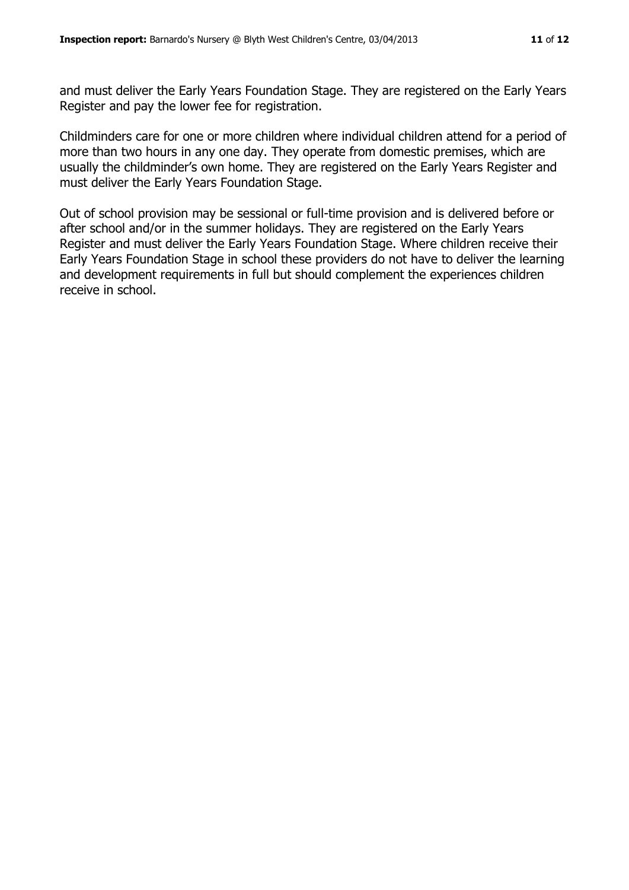and must deliver the Early Years Foundation Stage. They are registered on the Early Years Register and pay the lower fee for registration.

Childminders care for one or more children where individual children attend for a period of more than two hours in any one day. They operate from domestic premises, which are usually the childminder's own home. They are registered on the Early Years Register and must deliver the Early Years Foundation Stage.

Out of school provision may be sessional or full-time provision and is delivered before or after school and/or in the summer holidays. They are registered on the Early Years Register and must deliver the Early Years Foundation Stage. Where children receive their Early Years Foundation Stage in school these providers do not have to deliver the learning and development requirements in full but should complement the experiences children receive in school.